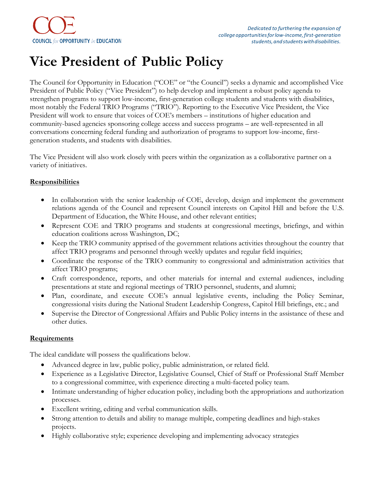## **Vice President of Public Policy**

The Council for Opportunity in Education ("COE" or "the Council") seeks a dynamic and accomplished Vice President of Public Policy ("Vice President") to help develop and implement a robust policy agenda to strengthen programs to support low-income, first-generation college students and students with disabilities, most notably the Federal TRIO Programs ("TRIO"). Reporting to the Executive Vice President, the Vice President will work to ensure that voices of COE's members – institutions of higher education and community-based agencies sponsoring college access and success programs – are well-represented in all conversations concerning federal funding and authorization of programs to support low-income, firstgeneration students, and students with disabilities.

The Vice President will also work closely with peers within the organization as a collaborative partner on a variety of initiatives.

## **Responsibilities**

- In collaboration with the senior leadership of COE, develop, design and implement the government relations agenda of the Council and represent Council interests on Capitol Hill and before the U.S. Department of Education, the White House, and other relevant entities;
- Represent COE and TRIO programs and students at congressional meetings, briefings, and within education coalitions across Washington, DC;
- Keep the TRIO community apprised of the government relations activities throughout the country that affect TRIO programs and personnel through weekly updates and regular field inquiries;
- Coordinate the response of the TRIO community to congressional and administration activities that affect TRIO programs;
- Craft correspondence, reports, and other materials for internal and external audiences, including presentations at state and regional meetings of TRIO personnel, students, and alumni;
- Plan, coordinate, and execute COE's annual legislative events, including the Policy Seminar, congressional visits during the National Student Leadership Congress, Capitol Hill briefings, etc.; and
- Supervise the Director of Congressional Affairs and Public Policy interns in the assistance of these and other duties.

## **Requirements**

The ideal candidate will possess the qualifications below.

- Advanced degree in law, public policy, public administration, or related field.
- Experience as a Legislative Director, Legislative Counsel, Chief of Staff or Professional Staff Member to a congressional committee, with experience directing a multi-faceted policy team.
- Intimate understanding of higher education policy, including both the appropriations and authorization processes.
- Excellent writing, editing and verbal communication skills.
- Strong attention to details and ability to manage multiple, competing deadlines and high-stakes projects.
- Highly collaborative style; experience developing and implementing advocacy strategies